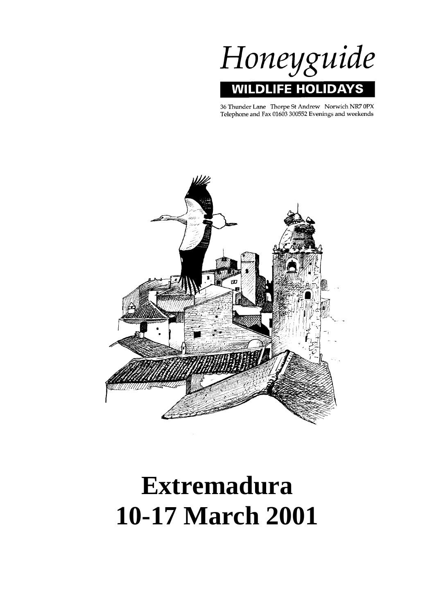Honeyguide **FE HOLID WILDI** S

36 Thunder Lane Thorpe St Andrew Norwich NR7 0PX Telephone and Fax 01603 300552 Evenings and weekends



# **Extremadura 10-17 March 2001**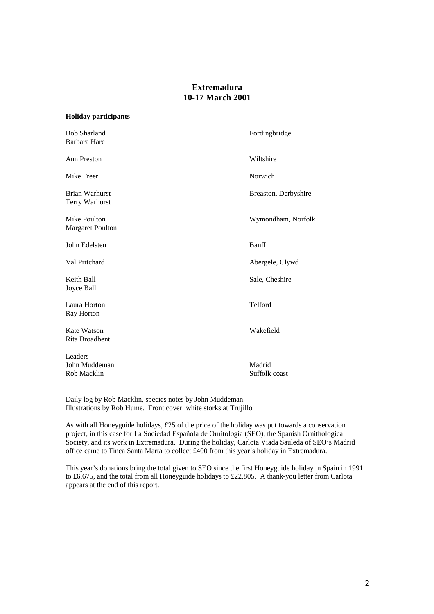## **Extremadura 10-17 March 2001**

#### **Holiday participants**

| <b>Bob Sharland</b><br>Barbara Hare            | Fordingbridge           |
|------------------------------------------------|-------------------------|
| Ann Preston                                    | Wiltshire               |
| Mike Freer                                     | Norwich                 |
| <b>Brian Warhurst</b><br>Terry Warhurst        | Breaston, Derbyshire    |
| Mike Poulton<br><b>Margaret Poulton</b>        | Wymondham, Norfolk      |
| John Edelsten                                  | Banff                   |
| Val Pritchard                                  | Abergele, Clywd         |
| Keith Ball<br>Joyce Ball                       | Sale, Cheshire          |
| Laura Horton<br>Ray Horton                     | Telford                 |
| Kate Watson<br>Rita Broadbent                  | Wakefield               |
| <b>Leaders</b><br>John Muddeman<br>Rob Macklin | Madrid<br>Suffolk coast |

Daily log by Rob Macklin, species notes by John Muddeman. Illustrations by Rob Hume. Front cover: white storks at Trujillo

As with all Honeyguide holidays, £25 of the price of the holiday was put towards a conservation project, in this case for La Sociedad Española de Ornitología (SEO), the Spanish Ornithological Society, and its work in Extremadura. During the holiday, Carlota Viada Sauleda of SEO's Madrid office came to Finca Santa Marta to collect £400 from this year's holiday in Extremadura.

This year's donations bring the total given to SEO since the first Honeyguide holiday in Spain in 1991 to £6,675, and the total from all Honeyguide holidays to £22,805. A thank-you letter from Carlota appears at the end of this report.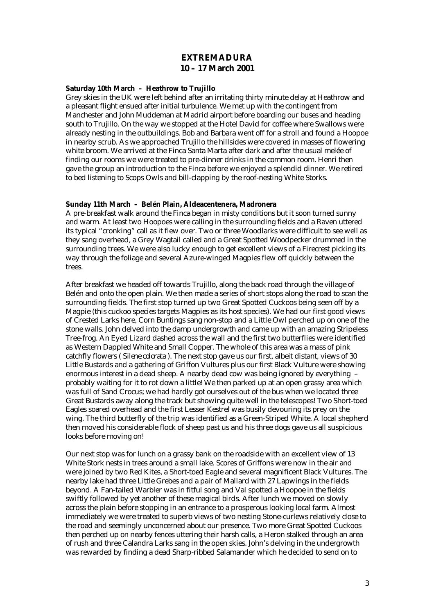## **EXTREMADURA 10 – 17 March 2001**

#### **Saturday 10th March – Heathrow to Trujillo**

Grey skies in the UK were left behind after an irritating thirty minute delay at Heathrow and a pleasant flight ensued after initial turbulence. We met up with the contingent from Manchester and John Muddeman at Madrid airport before boarding our buses and heading south to Trujillo. On the way we stopped at the Hotel David for coffee where Swallows were already nesting in the outbuildings. Bob and Barbara went off for a stroll and found a Hoopoe in nearby scrub. As we approached Trujillo the hillsides were covered in masses of flowering white broom. We arrived at the Finca Santa Marta after dark and after the usual melée of finding our rooms we were treated to pre-dinner drinks in the common room. Henri then gave the group an introduction to the Finca before we enjoyed a splendid dinner. We retired to bed listening to Scops Owls and bill-clapping by the roof-nesting White Storks.

#### **Sunday 11th March – Belén Plain, Aldeacentenera, Madronera**

A pre-breakfast walk around the Finca began in misty conditions but it soon turned sunny and warm. At least two Hoopoes were calling in the surrounding fields and a Raven uttered its typical "cronking" call as it flew over. Two or three Woodlarks were difficult to see well as they sang overhead, a Grey Wagtail called and a Great Spotted Woodpecker drummed in the surrounding trees. We were also lucky enough to get excellent views of a Firecrest picking its way through the foliage and several Azure-winged Magpies flew off quickly between the trees.

After breakfast we headed off towards Trujillo, along the back road through the village of Belén and onto the open plain. We then made a series of short stops along the road to scan the surrounding fields. The first stop turned up two Great Spotted Cuckoos being seen off by a Magpie (this cuckoo species targets Magpies as its host species). We had our first good views of Crested Larks here, Corn Buntings sang non-stop and a Little Owl perched up on one of the stone walls. John delved into the damp undergrowth and came up with an amazing Stripeless Tree-frog. An Eyed Lizard dashed across the wall and the first two butterflies were identified as Western Dappled White and Small Copper. The whole of this area was a mass of pink catchfly flowers ( *Silene colorata* ). The next stop gave us our first, albeit distant, views of 30 Little Bustards and a gathering of Griffon Vultures plus our first Black Vulture were showing enormous interest in a dead sheep. A nearby dead cow was being ignored by everything – probably waiting for it to rot down a little! We then parked up at an open grassy area which was full of Sand Crocus; we had hardly got ourselves out of the bus when we located three Great Bustards away along the track but showing quite well in the telescopes! Two Short-toed Eagles soared overhead and the first Lesser Kestrel was busily devouring its prey on the wing. The third butterfly of the trip was identified as a Green-Striped White. A local shepherd then moved his considerable flock of sheep past us and his three dogs gave us all suspicious looks before moving on!

Our next stop was for lunch on a grassy bank on the roadside with an excellent view of 13 White Stork nests in trees around a small lake. Scores of Griffons were now in the air and were joined by two Red Kites, a Short-toed Eagle and several magnificent Black Vultures. The nearby lake had three Little Grebes and a pair of Mallard with 27 Lapwings in the fields beyond. A Fan-tailed Warbler was in fitful song and Val spotted a Hoopoe in the fields swiftly followed by yet another of these magical birds. After lunch we moved on slowly across the plain before stopping in an entrance to a prosperous looking local farm. Almost immediately we were treated to superb views of two nesting Stone-curlews relatively close to the road and seemingly unconcerned about our presence. Two more Great Spotted Cuckoos then perched up on nearby fences uttering their harsh calls, a Heron stalked through an area of rush and three Calandra Larks sang in the open skies. John's delving in the undergrowth was rewarded by finding a dead Sharp-ribbed Salamander which he decided to send on to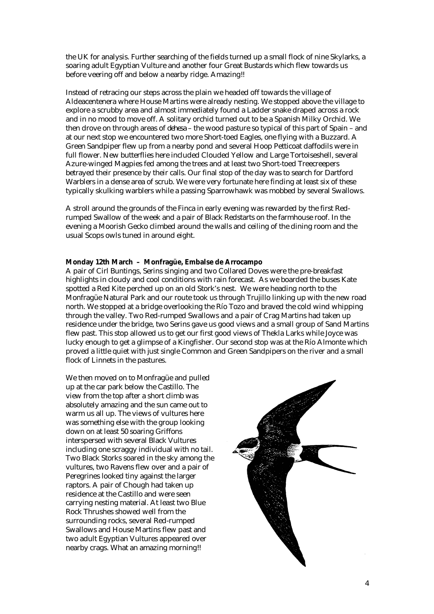the UK for analysis. Further searching of the fields turned up a small flock of nine Skylarks, a soaring adult Egyptian Vulture and another four Great Bustards which flew towards us before veering off and below a nearby ridge. Amazing!!

Instead of retracing our steps across the plain we headed off towards the village of Aldeacentenera where House Martins were already nesting. We stopped above the village to explore a scrubby area and almost immediately found a Ladder snake draped across a rock and in no mood to move off. A solitary orchid turned out to be a Spanish Milky Orchid. We then drove on through areas of *dehesa* – the wood pasture so typical of this part of Spain – and at our next stop we encountered two more Short-toed Eagles, one flying with a Buzzard. A Green Sandpiper flew up from a nearby pond and several Hoop Petticoat daffodils were in full flower. New butterflies here included Clouded Yellow and Large Tortoiseshell, several Azure-winged Magpies fed among the trees and at least two Short-toed Treecreepers betrayed their presence by their calls. Our final stop of the day was to search for Dartford Warblers in a dense area of scrub. We were very fortunate here finding at least six of these typically skulking warblers while a passing Sparrowhawk was mobbed by several Swallows.

A stroll around the grounds of the Finca in early evening was rewarded by the first Redrumped Swallow of the week and a pair of Black Redstarts on the farmhouse roof. In the evening a Moorish Gecko climbed around the walls and ceiling of the dining room and the usual Scops owls tuned in around eight.

#### **Monday 12th March – Monfragüe, Embalse de Arrocampo**

A pair of Cirl Buntings, Serins singing and two Collared Doves were the pre-breakfast highlights in cloudy and cool conditions with rain forecast. As we boarded the buses Kate spotted a Red Kite perched up on an old Stork's nest. We were heading north to the Monfragüe Natural Park and our route took us through Trujillo linking up with the new road north. We stopped at a bridge overlooking the Río Tozo and braved the cold wind whipping through the valley. Two Red-rumped Swallows and a pair of Crag Martins had taken up residence under the bridge, two Serins gave us good views and a small group of Sand Martins flew past. This stop allowed us to get our first good views of Thekla Larks while Joyce was lucky enough to get a glimpse of a Kingfisher. Our second stop was at the Río Almonte which proved a little quiet with just single Common and Green Sandpipers on the river and a small flock of Linnets in the pastures.

We then moved on to Monfragüe and pulled up at the car park below the Castillo. The view from the top after a short climb was absolutely amazing and the sun came out to warm us all up. The views of vultures here was something else with the group looking down on at least 50 soaring Griffons interspersed with several Black Vultures including one scraggy individual with no tail. Two Black Storks soared in the sky among the vultures, two Ravens flew over and a pair of Peregrines looked tiny against the larger raptors. A pair of Chough had taken up residence at the Castillo and were seen carrying nesting material. At least two Blue Rock Thrushes showed well from the surrounding rocks, several Red-rumped Swallows and House Martins flew past and two adult Egyptian Vultures appeared over nearby crags. What an amazing morning!!

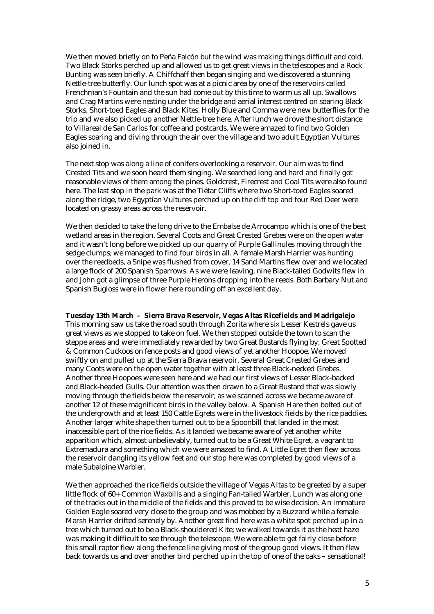We then moved briefly on to Peña Falcón but the wind was making things difficult and cold. Two Black Storks perched up and allowed us to get great views in the telescopes and a Rock Bunting was seen briefly. A Chiffchaff then began singing and we discovered a stunning Nettle-tree butterfly. Our lunch spot was at a picnic area by one of the reservoirs called Frenchman's Fountain and the sun had come out by this time to warm us all up. Swallows and Crag Martins were nesting under the bridge and aerial interest centred on soaring Black Storks, Short-toed Eagles and Black Kites. Holly Blue and Comma were new butterflies for the trip and we also picked up another Nettle-tree here. After lunch we drove the short distance to Villareal de San Carlos for coffee and postcards. We were amazed to find two Golden Eagles soaring and diving through the air over the village and two adult Egyptian Vultures also joined in.

The next stop was along a line of conifers overlooking a reservoir. Our aim was to find Crested Tits and we soon heard them singing. We searched long and hard and finally got reasonable views of them among the pines. Goldcrest, Firecrest and Coal Tits were also found here. The last stop in the park was at the Tiétar Cliffs where two Short-toed Eagles soared along the ridge, two Egyptian Vultures perched up on the cliff top and four Red Deer were located on grassy areas across the reservoir.

We then decided to take the long drive to the Embalse de Arrocampo which is one of the best wetland areas in the region. Several Coots and Great Crested Grebes were on the open water and it wasn't long before we picked up our quarry of Purple Gallinules moving through the sedge clumps; we managed to find four birds in all. A female Marsh Harrier was hunting over the reedbeds, a Snipe was flushed from cover, 14 Sand Martins flew over and we located a large flock of 200 Spanish Sparrows. As we were leaving, nine Black-tailed Godwits flew in and John got a glimpse of three Purple Herons dropping into the reeds. Both Barbary Nut and Spanish Bugloss were in flower here rounding off an excellent day.

#### **Tuesday 13th March – Sierra Brava Reservoir, Vegas Altas Ricefields and Madrigalejo**

This morning saw us take the road south through Zorita where six Lesser Kestrels gave us great views as we stopped to take on fuel. We then stopped outside the town to scan the steppe areas and were immediately rewarded by two Great Bustards flying by, Great Spotted & Common Cuckoos on fence posts and good views of yet another Hoopoe. We moved swiftly on and pulled up at the Sierra Brava reservoir. Several Great Crested Grebes and many Coots were on the open water together with at least three Black-necked Grebes. Another three Hoopoes were seen here and we had our first views of Lesser Black-backed and Black-headed Gulls. Our attention was then drawn to a Great Bustard that was slowly moving through the fields below the reservoir; as we scanned across we became aware of another 12 of these magnificent birds in the valley below. A Spanish Hare then bolted out of the undergrowth and at least 150 Cattle Egrets were in the livestock fields by the rice paddies. Another larger white shape then turned out to be a Spoonbill that landed in the most inaccessible part of the rice fields. As it landed we became aware of yet another white apparition which, almost unbelievably, turned out to be a Great White Egret, a vagrant to Extremadura and something which we were amazed to find. A Little Egret then flew across the reservoir dangling its yellow feet and our stop here was completed by good views of a male Subalpine Warbler.

We then approached the rice fields outside the village of Vegas Altas to be greeted by a super little flock of 60+ Common Waxbills and a singing Fan-tailed Warbler. Lunch was along one of the tracks out in the middle of the fields and this proved to be wise decision. An immature Golden Eagle soared very close to the group and was mobbed by a Buzzard while a female Marsh Harrier drifted serenely by. Another great find here was a white spot perched up in a tree which turned out to be a Black-shouldered Kite; we walked towards it as the heat haze was making it difficult to see through the telescope. We were able to get fairly close before this small raptor flew along the fence line giving most of the group good views. It then flew back towards us and over another bird perched up in the top of one of the oaks **–** sensational!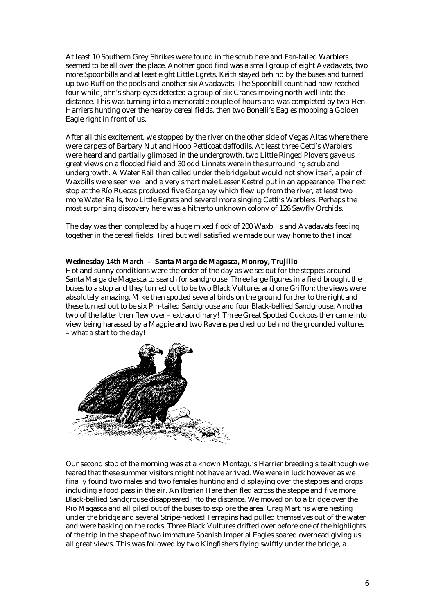At least 10 Southern Grey Shrikes were found in the scrub here and Fan-tailed Warblers seemed to be all over the place. Another good find was a small group of eight Avadavats, two more Spoonbills and at least eight Little Egrets. Keith stayed behind by the buses and turned up two Ruff on the pools and another six Avadavats. The Spoonbill count had now reached four while John's sharp eyes detected a group of six Cranes moving north well into the distance. This was turning into a memorable couple of hours and was completed by two Hen Harriers hunting over the nearby cereal fields, then two Bonelli's Eagles mobbing a Golden Eagle right in front of us.

After all this excitement, we stopped by the river on the other side of Vegas Altas where there were carpets of Barbary Nut and Hoop Petticoat daffodils. At least three Cetti's Warblers were heard and partially glimpsed in the undergrowth, two Little Ringed Plovers gave us great views on a flooded field and 30 odd Linnets were in the surrounding scrub and undergrowth. A Water Rail then called under the bridge but would not show itself, a pair of Waxbills were seen well and a very smart male Lesser Kestrel put in an appearance. The next stop at the Río Ruecas produced five Garganey which flew up from the river, at least two more Water Rails, two Little Egrets and several more singing Cetti's Warblers. Perhaps the most surprising discovery here was a hitherto unknown colony of 126 Sawfly Orchids.

The day was then completed by a huge mixed flock of 200 Waxbills and Avadavats feeding together in the cereal fields. Tired but well satisfied we made our way home to the Finca!

#### **Wednesday 14th March – Santa Marga de Magasca, Monroy, Trujillo**

Hot and sunny conditions were the order of the day as we set out for the steppes around Santa Marga de Magasca to search for sandgrouse. Three large figures in a field brought the buses to a stop and they turned out to be two Black Vultures and one Griffon; the views were absolutely amazing. Mike then spotted several birds on the ground further to the right and these turned out to be six Pin-tailed Sandgrouse and four Black-bellied Sandgrouse. Another two of the latter then flew over – extraordinary! Three Great Spotted Cuckoos then came into view being harassed by a Magpie and two Ravens perched up behind the grounded vultures – what a start to the day!



Our second stop of the morning was at a known Montagu's Harrier breeding site although we feared that these summer visitors might not have arrived. We were in luck however as we finally found two males and two females hunting and displaying over the steppes and crops including a food pass in the air. An Iberian Hare then fled across the steppe and five more Black-bellied Sandgrouse disappeared into the distance. We moved on to a bridge over the Río Magasca and all piled out of the buses to explore the area. Crag Martins were nesting under the bridge and several Stripe-necked Terrapins had pulled themselves out of the water and were basking on the rocks. Three Black Vultures drifted over before one of the highlights of the trip in the shape of two immature Spanish Imperial Eagles soared overhead giving us all great views. This was followed by two Kingfishers flying swiftly under the bridge, a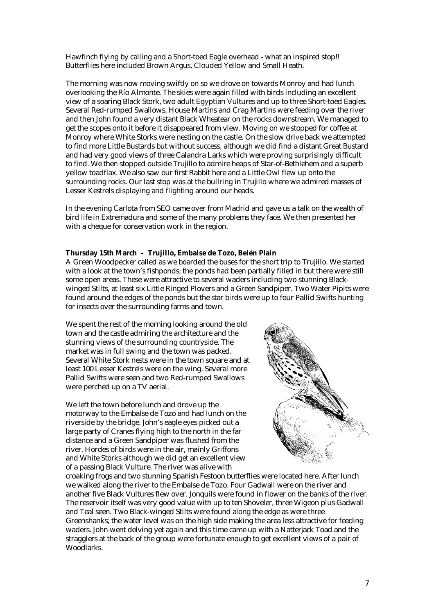Hawfinch flying by calling and a Short-toed Eagle overhead - what an inspired stop!! Butterflies here included Brown Argus, Clouded Yellow and Small Heath.

The morning was now moving swiftly on so we drove on towards Monroy and had lunch overlooking the Río Almonte. The skies were again filled with birds including an excellent view of a soaring Black Stork, two adult Egyptian Vultures and up to three Short-toed Eagles. Several Red-rumped Swallows, House Martins and Crag Martins were feeding over the river and then John found a very distant Black Wheatear on the rocks downstream. We managed to get the scopes onto it before it disappeared from view. Moving on we stopped for coffee at Monroy where White Storks were nesting on the castle. On the slow drive back we attempted to find more Little Bustards but without success, although we did find a distant Great Bustard and had very good views of three Calandra Larks which were proving surprisingly difficult to find. We then stopped outside Trujillo to admire heaps of Star-of-Bethlehem and a superb yellow toadflax. We also saw our first Rabbit here and a Little Owl flew up onto the surrounding rocks. Our last stop was at the bullring in Trujillo where we admired masses of Lesser Kestrels displaying and flighting around our heads.

In the evening Carlota from SEO came over from Madrid and gave us a talk on the wealth of bird life in Extremadura and some of the many problems they face. We then presented her with a cheque for conservation work in the region.

#### **Thursday 15th March – Trujillo, Embalse de Tozo, Belén Plain**

A Green Woodpecker called as we boarded the buses for the short trip to Trujillo. We started with a look at the town's fishponds; the ponds had been partially filled in but there were still some open areas. These were attractive to several waders including two stunning Blackwinged Stilts, at least six Little Ringed Plovers and a Green Sandpiper. Two Water Pipits were found around the edges of the ponds but the star birds were up to four Pallid Swifts hunting for insects over the surrounding farms and town.

We spent the rest of the morning looking around the old town and the castle admiring the architecture and the stunning views of the surrounding countryside. The market was in full swing and the town was packed. Several White Stork nests were in the town square and at least 100 Lesser Kestrels were on the wing. Several more Pallid Swifts were seen and two Red-rumped Swallows were perched up on a TV aerial.

We left the town before lunch and drove up the motorway to the Embalse de Tozo and had lunch on the riverside by the bridge. John's eagle eyes picked out a large party of Cranes flying high to the north in the far distance and a Green Sandpiper was flushed from the river. Hordes of birds were in the air, mainly Griffons and White Storks although we did get an excellent view of a passing Black Vulture. The river was alive with



croaking frogs and two stunning Spanish Festoon butterflies were located here. After lunch we walked along the river to the Embalse de Tozo. Four Gadwall were on the river and another five Black Vultures flew over. Jonquils were found in flower on the banks of the river. The reservoir itself was very good value with up to ten Shoveler, three Wigeon plus Gadwall and Teal seen. Two Black-winged Stilts were found along the edge as were three Greenshanks; the water level was on the high side making the area less attractive for feeding waders. John went delving yet again and this time came up with a Natterjack Toad and the stragglers at the back of the group were fortunate enough to get excellent views of a pair of Woodlarks.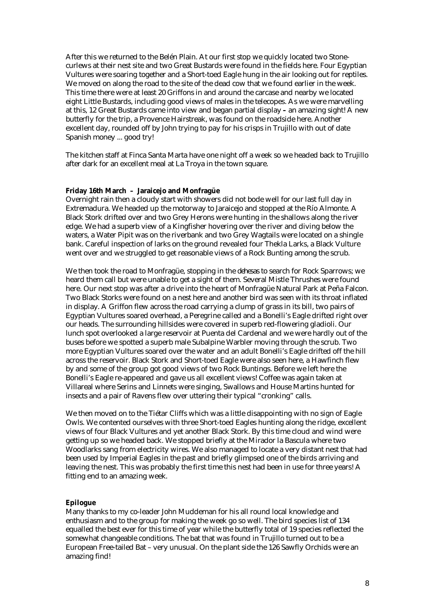After this we returned to the Belén Plain. At our first stop we quickly located two Stonecurlews at their nest site and two Great Bustards were found in the fields here. Four Egyptian Vultures were soaring together and a Short-toed Eagle hung in the air looking out for reptiles. We moved on along the road to the site of the dead cow that we found earlier in the week. This time there were at least 20 Griffons in and around the carcase and nearby we located eight Little Bustards, including good views of males in the telecopes. As we were marvelling at this, 12 Great Bustards came into view and began partial display **–** an amazing sight! A new butterfly for the trip, a Provence Hairstreak, was found on the roadside here. Another excellent day, rounded off by John trying to pay for his crisps in Trujillo with out of date Spanish money ... good try!

The kitchen staff at Finca Santa Marta have one night off a week so we headed back to Trujillo after dark for an excellent meal at La Troya in the town square.

#### **Friday 16th March – Jaraicejo and Monfragüe**

Overnight rain then a cloudy start with showers did not bode well for our last full day in Extremadura. We headed up the motorway to Jaraicejo and stopped at the Río Almonte. A Black Stork drifted over and two Grey Herons were hunting in the shallows along the river edge. We had a superb view of a Kingfisher hovering over the river and diving below the waters, a Water Pipit was on the riverbank and two Grey Wagtails were located on a shingle bank. Careful inspection of larks on the ground revealed four Thekla Larks, a Black Vulture went over and we struggled to get reasonable views of a Rock Bunting among the scrub.

We then took the road to Monfragüe, stopping in the *dehesas* to search for Rock Sparrows; we heard them call but were unable to get a sight of them. Several Mistle Thrushes were found here. Our next stop was after a drive into the heart of Monfragüe Natural Park at Peña Falcon. Two Black Storks were found on a nest here and another bird was seen with its throat inflated in display. A Griffon flew across the road carrying a clump of grass in its bill, two pairs of Egyptian Vultures soared overhead, a Peregrine called and a Bonelli's Eagle drifted right over our heads. The surrounding hillsides were covered in superb red-flowering gladioli. Our lunch spot overlooked a large reservoir at Puenta del Cardenal and we were hardly out of the buses before we spotted a superb male Subalpine Warbler moving through the scrub. Two more Egyptian Vultures soared over the water and an adult Bonelli's Eagle drifted off the hill across the reservoir. Black Stork and Short-toed Eagle were also seen here, a Hawfinch flew by and some of the group got good views of two Rock Buntings. Before we left here the Bonelli's Eagle re-appeared and gave us all excellent views! Coffee was again taken at Villareal where Serins and Linnets were singing, Swallows and House Martins hunted for insects and a pair of Ravens flew over uttering their typical "cronking" calls.

We then moved on to the Tiétar Cliffs which was a little disappointing with no sign of Eagle Owls. We contented ourselves with three Short-toed Eagles hunting along the ridge, excellent views of four Black Vultures and yet another Black Stork. By this time cloud and wind were getting up so we headed back. We stopped briefly at the Mirador la Bascula where two Woodlarks sang from electricity wires. We also managed to locate a very distant nest that had been used by Imperial Eagles in the past and briefly glimpsed one of the birds arriving and leaving the nest. This was probably the first time this nest had been in use for three years! A fitting end to an amazing week.

#### **Epilogue**

Many thanks to my co-leader John Muddeman for his all round local knowledge and enthusiasm and to the group for making the week go so well. The bird species list of 134 equalled the best ever for this time of year while the butterfly total of 19 species reflected the somewhat changeable conditions. The bat that was found in Trujillo turned out to be a European Free-tailed Bat – very unusual. On the plant side the 126 Sawfly Orchids were an amazing find!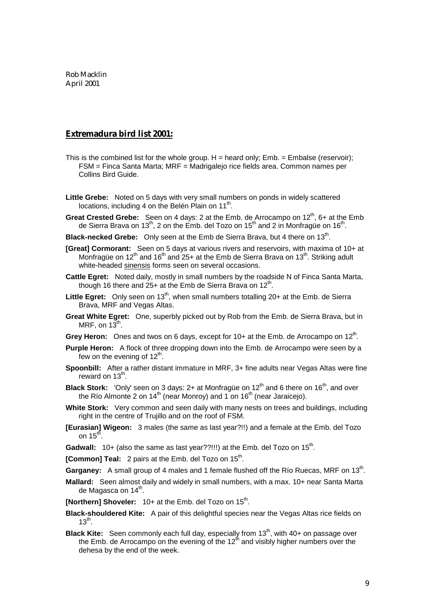Rob Macklin April 2001

## **Extremadura bird list 2001:**

- This is the combined list for the whole group.  $H =$  heard only: Emb.  $=$  Embalse (reservoir); FSM = Finca Santa Marta; MRF = Madrigalejo rice fields area. Common names per Collins Bird Guide.
- **Little Grebe:** Noted on 5 days with very small numbers on ponds in widely scattered locations, including 4 on the Belén Plain on  $11^{th}$ .
- **Great Crested Grebe:** Seen on 4 days: 2 at the Emb. de Arrocampo on 12<sup>th</sup>, 6+ at the Emb de Sierra Brava on 13<sup>th</sup>, 2 on the Emb. del Tozo on 15<sup>th</sup> and 2 in Monfrague on 16<sup>th</sup>.
- **Black-necked Grebe:** Only seen at the Emb de Sierra Brava, but 4 there on 13<sup>th</sup>.
- **[Great] Cormorant:** Seen on 5 days at various rivers and reservoirs, with maxima of 10+ at Monfragüe on 12<sup>th</sup> and 16<sup>th</sup> and 25+ at the Emb de Sierra Brava on 13<sup>th</sup>. Striking adult white-headed sinensis forms seen on several occasions.
- **Cattle Egret:** Noted daily, mostly in small numbers by the roadside N of Finca Santa Marta, though 16 there and  $25+$  at the Emb de Sierra Brava on  $12<sup>th</sup>$ .
- Little Egret: Only seen on 13<sup>th</sup>, when small numbers totalling 20+ at the Emb. de Sierra Brava, MRF and Vegas Altas.
- **Great White Egret:** One, superbly picked out by Rob from the Emb. de Sierra Brava, but in MRF, on  $13^{\text{th}}$ .
- Grey Heron: Ones and twos on 6 days, except for 10+ at the Emb. de Arrocampo on 12<sup>th</sup>.
- **Purple Heron:** A flock of three dropping down into the Emb. de Arrocampo were seen by a few on the evening of  $12<sup>th</sup>$ .
- **Spoonbill:** After a rather distant immature in MRF, 3+ fine adults near Vegas Altas were fine reward on 13<sup>th</sup>.
- **Black Stork:** 'Only' seen on 3 days: 2+ at Monfragüe on 12<sup>th</sup> and 6 there on 16<sup>th</sup>, and over the Río Almonte 2 on 14<sup>th</sup> (near Monroy) and 1 on 16<sup>th</sup> (near Jaraicejo).
- **White Stork:** Very common and seen daily with many nests on trees and buildings, including right in the centre of Trujillo and on the roof of FSM.
- **[Eurasian] Wigeon:** 3 males (the same as last year?!!) and a female at the Emb. del Tozo on  $15<sup>th</sup>$ .
- **Gadwall:** 10+ (also the same as last year??!!!) at the Emb. del Tozo on 15<sup>th</sup>.
- **[Common] Teal:** 2 pairs at the Emb. del Tozo on 15<sup>th</sup>.
- **Garganey:** A small group of 4 males and 1 female flushed off the Río Ruecas, MRF on 13<sup>th</sup>.
- **Mallard:** Seen almost daily and widely in small numbers, with a max. 10+ near Santa Marta de Magasca on 14<sup>th</sup>.
- **[Northern] Shoveler:** 10+ at the Emb. del Tozo on 15<sup>th</sup>.
- **Black-shouldered Kite:** A pair of this delightful species near the Vegas Altas rice fields on  $13<sup>th</sup>$ .
- **Black Kite:** Seen commonly each full day, especially from 13<sup>th</sup>, with 40+ on passage over the Emb. de Arrocampo on the evening of the  $12^{th}$  and visibly higher numbers over the dehesa by the end of the week.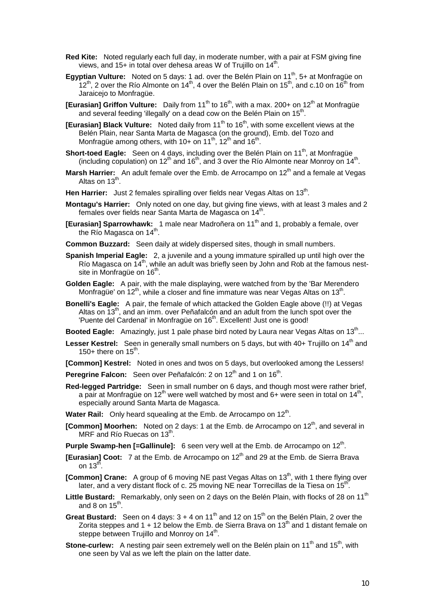- **Red Kite:** Noted regularly each full day, in moderate number, with a pair at FSM giving fine views, and 15+ in total over dehesa areas W of Trujillo on 14<sup>th</sup>.
- **Egyptian Vulture:** Noted on 5 days: 1 ad. over the Belén Plain on 11<sup>th</sup>, 5+ at Monfragüe on  $12<sup>th</sup>$ , 2 over the Río Almonte on 14<sup>th</sup>, 4 over the Belén Plain on 15<sup>th</sup>, and c.10 on 16<sup>th</sup> from Jaraiceio to Monfragüe.
- **[Eurasian] Griffon Vulture:** Daily from 11<sup>th</sup> to 16<sup>th</sup>, with a max. 200+ on 12<sup>th</sup> at Monfragüe and several feeding 'illegally' on a dead cow on the Belén Plain on 15<sup>th</sup>
- **[Eurasian] Black Vulture:** Noted daily from 11<sup>th</sup> to 16<sup>th</sup>, with some excellent views at the Belén Plain, near Santa Marta de Magasca (on the ground), Emb. del Tozo and Monfragüe among others, with  $10+$  on  $11^{th}$ ,  $12^{th}$  and  $16^{th}$ .
- Short-toed Eagle: Seen on 4 days, including over the Belén Plain on 11<sup>th</sup>, at Monfragüe (including copulation) on 12<sup>th</sup> and 16<sup>th</sup>, and 3 over the Río Almonte near Monroy on 14<sup>th</sup>.
- **Marsh Harrier:** An adult female over the Emb. de Arrocampo on 12<sup>th</sup> and a female at Vegas Altas on  $13^{\text{th}}$ .
- **Hen Harrier:** Just 2 females spiralling over fields near Vegas Altas on 13<sup>th</sup>.
- **Montagu's Harrier:** Only noted on one day, but giving fine views, with at least 3 males and 2 females over fields near Santa Marta de Magasca on 14<sup>th</sup>.
- **[Eurasian] Sparrowhawk:** 1 male near Madroñera on 11<sup>th</sup> and 1, probably a female, over the Río Magasca on 14<sup>th</sup>.
- **Common Buzzard:** Seen daily at widely dispersed sites, though in small numbers.
- **Spanish Imperial Eagle:** 2, a juvenile and a young immature spiralled up until high over the Río Magasca on 14<sup>th</sup>, while an adult was briefly seen by John and Rob at the famous nestsite in Monfrague on 16<sup>th</sup>.
- **Golden Eagle:** A pair, with the male displaying, were watched from by the 'Bar Merendero Monfragüe' on  $12^{th}$ , while a closer and fine immature was near Vegas Altas on 13<sup>th</sup>.
- **Bonelli's Eagle:** A pair, the female of which attacked the Golden Eagle above (!!) at Vegas Altas on  $13^{th}$ , and an imm. over Peñafalcón and an adult from the lunch spot over the 'Puente del Cardenal' in Monfragüe on 16<sup>th</sup>. Excellent! Just one is good!

**Booted Eagle:** Amazingly, just 1 pale phase bird noted by Laura near Vegas Altas on 13<sup>th</sup>...

- Lesser Kestrel: Seen in generally small numbers on 5 days, but with 40+ Trujillo on 14<sup>th</sup> and 150+ there on  $15<sup>th</sup>$ .
- **[Common] Kestrel:** Noted in ones and twos on 5 days, but overlooked among the Lessers!
- Peregrine Falcon: Seen over Peñafalcón: 2 on 12<sup>th</sup> and 1 on 16<sup>th</sup>.
- **Red-legged Partridge:** Seen in small number on 6 days, and though most were rather brief, a pair at Monfrague on  $12<sup>th</sup>$  were well watched by most and 6+ were seen in total on  $14<sup>th</sup>$ , especially around Santa Marta de Magasca.
- **Water Rail:** Only heard squealing at the Emb. de Arrocampo on 12<sup>th</sup>.
- **[Common] Moorhen:** Noted on 2 days: 1 at the Emb. de Arrocampo on 12<sup>th</sup>, and several in MRF and Río Ruecas on  $13<sup>th</sup>$ .
- **Purple Swamp-hen [=Gallinule]:** 6 seen very well at the Emb. de Arrocampo on 12<sup>th</sup>.
- **[Eurasian] Coot:** 7 at the Emb. de Arrocampo on 12<sup>th</sup> and 29 at the Emb. de Sierra Brava on  $13<sup>th</sup>$ .
- **[Common] Crane:** A group of 6 moving NE past Vegas Altas on 13<sup>th</sup>, with 1 there flying over later, and a very distant flock of c. 25 moving NE near Torrecillas de la Tiesa on 15th.
- Little Bustard: Remarkably, only seen on 2 days on the Belén Plain, with flocks of 28 on 11<sup>th</sup> and 8 on  $15^{\text{th}}$ .
- **Great Bustard:** Seen on 4 days: 3 + 4 on 11<sup>th</sup> and 12 on 15<sup>th</sup> on the Belén Plain, 2 over the Zorita steppes and 1 + 12 below the Emb. de Sierra Brava on  $13<sup>th</sup>$  and 1 distant female on steppe between Trujillo and Monroy on 14<sup>th</sup>.
- **Stone-curlew:** A nesting pair seen extremely well on the Belén plain on 11<sup>th</sup> and 15<sup>th</sup>, with one seen by Val as we left the plain on the latter date.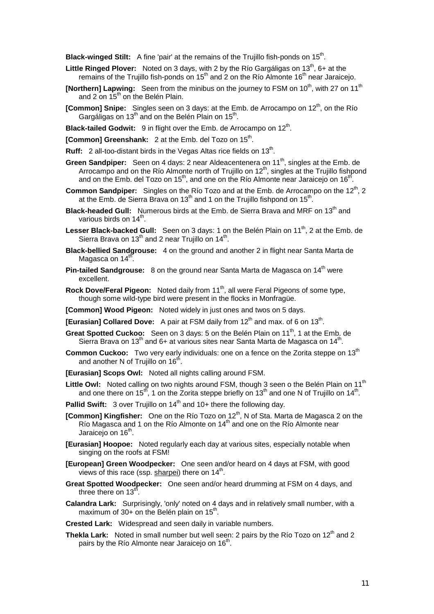**Black-winged Stilt:** A fine 'pair' at the remains of the Trujillo fish-ponds on 15<sup>th</sup>.

- **Little Ringed Plover:** Noted on 3 days, with 2 by the Río Gargáligas on 13<sup>th</sup>, 6+ at the remains of the Trujillo fish-ponds on  $15<sup>th</sup>$  and 2 on the Río Almonte  $16<sup>th</sup>$  near Jaraicejo.
- **[Northern] Lapwing:** Seen from the minibus on the journey to FSM on 10<sup>th</sup>, with 27 on 11<sup>th</sup> and 2 on  $15<sup>th</sup>$  on the Belén Plain.
- **[Common] Snipe:** Singles seen on 3 days: at the Emb. de Arrocampo on 12<sup>th</sup>, on the Río Gargáligas on 13<sup>th</sup> and on the Belén Plain on 15<sup>th</sup>.
- **Black-tailed Godwit:** 9 in flight over the Emb. de Arrocampo on 12<sup>th</sup>.
- **[Common] Greenshank:** 2 at the Emb. del Tozo on 15<sup>th</sup>.
- **Ruff:** 2 all-too-distant birds in the Vegas Altas rice fields on 13<sup>th</sup>.
- **Green Sandpiper:** Seen on 4 days: 2 near Aldeacentenera on 11<sup>th</sup>, singles at the Emb. de Arrocampo and on the Río Almonte north of Trujillo on  $12<sup>th</sup>$ , singles at the Trujillo fishpond and on the Emb. del Tozo on 15<sup>th</sup>, and one on the Río Almonte near Jaraicejo on 16<sup>th</sup>.
- **Common Sandpiper:** Singles on the Río Tozo and at the Emb. de Arrocampo on the 12<sup>th</sup>, 2 at the Emb. de Sierra Brava on 13<sup>th</sup> and 1 on the Trujillo fishpond on 15<sup>th</sup>.
- **Black-headed Gull:** Numerous birds at the Emb. de Sierra Brava and MRF on 13<sup>th</sup> and various birds on  $14<sup>th</sup>$ .
- Lesser Black-backed Gull: Seen on 3 days: 1 on the Belén Plain on 11<sup>th</sup>, 2 at the Emb. de Sierra Brava on  $13<sup>th</sup>$  and 2 near Trujillo on  $14<sup>th</sup>$ .
- **Black-bellied Sandgrouse:** 4 on the ground and another 2 in flight near Santa Marta de Magasca on  $14^{th}$ .
- **Pin-tailed Sandgrouse:** 8 on the ground near Santa Marta de Magasca on 14<sup>th</sup> were excellent.
- **Rock Dove/Feral Pigeon:** Noted daily from 11<sup>th</sup>, all were Feral Pigeons of some type, though some wild-type bird were present in the flocks in Monfragüe.
- **[Common] Wood Pigeon:** Noted widely in just ones and twos on 5 days.
- **[Eurasian] Collared Dove:** A pair at FSM daily from 12<sup>th</sup> and max. of 6 on 13<sup>th</sup>.
- **Great Spotted Cuckoo:** Seen on 3 days: 5 on the Belén Plain on 11<sup>th</sup>, 1 at the Emb. de Sierra Brava on 13 $<sup>th</sup>$  and 6+ at various sites near Santa Marta de Magasca on 14 $<sup>th</sup>$ .</sup></sup>
- **Common Cuckoo:** Two very early individuals: one on a fence on the Zorita steppe on 13<sup>th</sup> and another N of Trujillo on  $16<sup>th</sup>$ .
- **[Eurasian] Scops Owl:** Noted all nights calling around FSM.
- Little Owl: Noted calling on two nights around FSM, though 3 seen o the Belén Plain on 11<sup>th</sup> and one there on  $15<sup>th</sup>$ , 1 on the Zorita steppe briefly on  $13<sup>th</sup>$  and one N of Trujillo on  $14<sup>th</sup>$ .
- **Pallid Swift:** 3 over Trujillo on 14<sup>th</sup> and 10+ there the following day.
- **[Common] Kingfisher:** One on the Río Tozo on 12<sup>th</sup>, N of Sta. Marta de Magasca 2 on the Río Magasca and 1 on the Río Almonte on 14<sup>th</sup> and one on the Río Almonte near Jaraicejo on  $16<sup>th</sup>$ .
- **[Eurasian] Hoopoe:** Noted regularly each day at various sites, especially notable when singing on the roofs at FSM!
- **[European] Green Woodpecker:** One seen and/or heard on 4 days at FSM, with good views of this race (ssp. sharpei) there on  $14<sup>th</sup>$ .
- **Great Spotted Woodpecker:** One seen and/or heard drumming at FSM on 4 days, and three there on  $13<sup>th</sup>$ .
- **Calandra Lark:** Surprisingly, 'only' noted on 4 days and in relatively small number, with a maximum of 30+ on the Belén plain on  $15<sup>th</sup>$ .

**Crested Lark:** Widespread and seen daily in variable numbers.

**Thekla Lark:** Noted in small number but well seen: 2 pairs by the Río Tozo on 12<sup>th</sup> and 2 pairs by the Río Almonte near Jaraicejo on  $16<sup>th</sup>$ .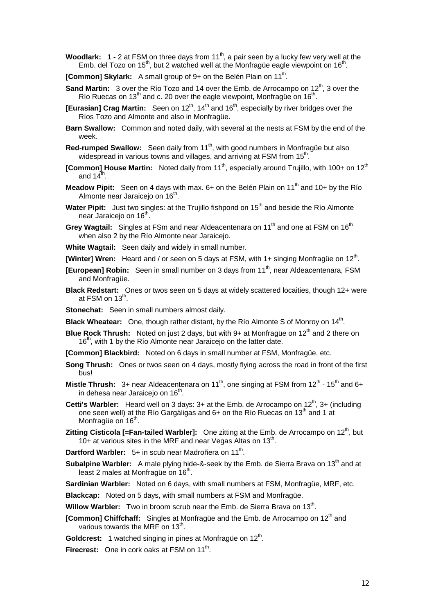- Woodlark: 1 2 at FSM on three days from 11<sup>th</sup>, a pair seen by a lucky few very well at the Emb. del Tozo on 15<sup>th</sup>, but 2 watched well at the Monfragüe eagle viewpoint on 16<sup>th</sup>.
- **[Common] Skylark:** A small group of 9+ on the Belén Plain on 11<sup>th</sup>.
- **Sand Martin:** 3 over the Río Tozo and 14 over the Emb. de Arrocampo on 12<sup>th</sup>, 3 over the Río Ruecas on 13<sup>th</sup> and c. 20 over the eagle viewpoint, Monfrague on 16<sup>th</sup>.
- **[Eurasian] Crag Martin:** Seen on 12<sup>th</sup>, 14<sup>th</sup> and 16<sup>th</sup>, especially by river bridges over the Ríos Tozo and Almonte and also in Monfragüe.
- **Barn Swallow:** Common and noted daily, with several at the nests at FSM by the end of the week.
- **Red-rumped Swallow:** Seen daily from 11<sup>th</sup>, with good numbers in Monfragüe but also widespread in various towns and villages, and arriving at FSM from 15<sup>th</sup>.
- **[Common] House Martin:** Noted daily from 11<sup>th</sup>, especially around Trujillo, with 100+ on 12<sup>th</sup> and  $14<sup>th</sup>$
- **Meadow Pipit:** Seen on 4 days with max. 6+ on the Belén Plain on 11<sup>th</sup> and 10+ by the Río Almonte near Jaraicejo on 16<sup>th</sup>.
- Water Pipit: Just two singles: at the Trujillo fishpond on 15<sup>th</sup> and beside the Río Almonte near Jaraicejo on 16<sup>th</sup>.
- **Grey Wagtail:** Singles at FSm and near Aldeacentenara on 11<sup>th</sup> and one at FSM on 16<sup>th</sup> when also 2 by the Río Almonte near Jaraicejo.

**White Wagtail:** Seen daily and widely in small number.

**[Winter] Wren:** Heard and / or seen on 5 days at FSM, with 1+ singing Monfrague on 12<sup>th</sup>.

- **[European] Robin:** Seen in small number on 3 days from 11<sup>th</sup>, near Aldeacentenara, FSM and Monfragüe.
- **Black Redstart:** Ones or twos seen on 5 days at widely scattered locaities, though 12+ were at FSM on 13 $^{\rm th}$ .
- **Stonechat:** Seen in small numbers almost daily.
- **Black Wheatear:** One, though rather distant, by the Río Almonte S of Monroy on 14<sup>th</sup>.
- **Blue Rock Thrush:** Noted on just 2 days, but with 9+ at Monfrague on 12<sup>th</sup> and 2 there on 16<sup>th</sup>, with 1 by the Río Almonte near Jaraiceio on the latter date.
- **[Common] Blackbird:** Noted on 6 days in small number at FSM, Monfragüe, etc.
- **Song Thrush:** Ones or twos seen on 4 days, mostly flying across the road in front of the first bus!
- **Mistle Thrush:** 3+ near Aldeacentenara on 11<sup>th</sup>, one singing at FSM from 12<sup>th</sup> 15<sup>th</sup> and 6+ in dehesa near Jaraiceio on  $16<sup>th</sup>$ .
- **Cetti's Warbler:** Heard well on 3 days: 3+ at the Emb. de Arrocampo on 12<sup>th</sup>, 3+ (including one seen well) at the Río Gargáligas and  $6+$  on the Río Ruecas on 13<sup>th</sup> and 1 at Monfragüe on 16<sup>th</sup>.
- **Zitting Cisticola [=Fan-tailed Warbler]:** One zitting at the Emb. de Arrocampo on 12<sup>th</sup>, but 10+ at various sites in the MRF and near Vegas Altas on 13<sup>th</sup>.
- **Dartford Warbler:** 5+ in scub near Madroñera on 11<sup>th</sup>.
- **Subalpine Warbler:** A male plying hide-&-seek by the Emb. de Sierra Brava on 13<sup>th</sup> and at least 2 males at Monfrague on  $16<sup>th</sup>$ .

**Sardinian Warbler:** Noted on 6 days, with small numbers at FSM, Monfragüe, MRF, etc.

**Blackcap:** Noted on 5 days, with small numbers at FSM and Monfragüe.

Willow Warbler: Two in broom scrub near the Emb. de Sierra Brava on 13<sup>th</sup>.

- **[Common] Chiffchaff:** Singles at Monfragüe and the Emb. de Arrocampo on 12<sup>th</sup> and various towards the MRF on  $13^{th}$ .
- **Goldcrest:** 1 watched singing in pines at Monfrague on 12<sup>th</sup>.

**Firecrest:** One in cork oaks at FSM on 11<sup>th</sup>.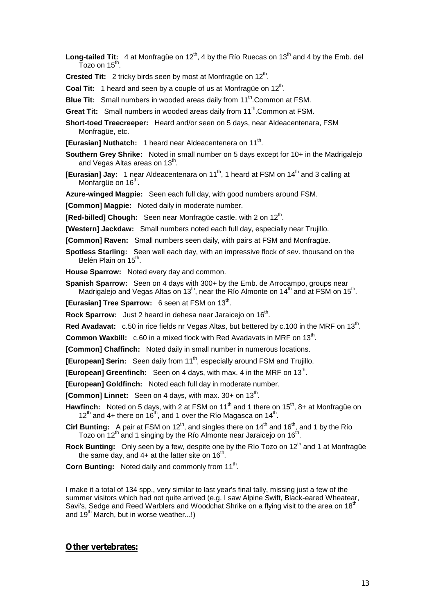**Long-tailed Tit:** 4 at Monfragüe on  $12<sup>th</sup>$ , 4 by the Río Ruecas on  $13<sup>th</sup>$  and 4 by the Emb. del Tozo on 15<sup>th</sup>.

**Crested Tit:** 2 tricky birds seen by most at Monfrague on 12<sup>th</sup>.

**Coal Tit:** 1 heard and seen by a couple of us at Monfrague on 12<sup>th</sup>.

**Blue Tit:** Small numbers in wooded areas daily from 11<sup>th</sup>.Common at FSM.

**Great Tit:** Small numbers in wooded areas daily from 11<sup>th</sup>.Common at FSM.

**Short-toed Treecreeper:** Heard and/or seen on 5 days, near Aldeacentenara, FSM Monfragüe, etc.

**[Eurasian] Nuthatch:** 1 heard near Aldeacentenera on 11<sup>th</sup>.

**Southern Grey Shrike:** Noted in small number on 5 days except for 10+ in the Madrigalejo and Vegas Altas areas on 13<sup>th</sup>.

**[Eurasian] Jay:** 1 near Aldeacentenara on 11<sup>th</sup>, 1 heard at FSM on 14<sup>th</sup> and 3 calling at Monfargüe on  $16<sup>th</sup>$ .

**Azure-winged Magpie:** Seen each full day, with good numbers around FSM.

**[Common] Magpie:** Noted daily in moderate number.

**[Red-billed] Chough:** Seen near Monfragüe castle, with 2 on 12<sup>th</sup>.

**[Western] Jackdaw:** Small numbers noted each full day, especially near Trujillo.

**[Common] Raven:** Small numbers seen daily, with pairs at FSM and Monfragüe.

**Spotless Starling:** Seen well each day, with an impressive flock of sev. thousand on the Belén Plain on  $15<sup>th</sup>$ .

**House Sparrow:** Noted every day and common.

**Spanish Sparrow:** Seen on 4 days with 300+ by the Emb. de Arrocampo, groups near Madrigalejo and Vegas Altas on 13<sup>th</sup>, near the Río Almonte on  $14<sup>th</sup>$  and at FSM on  $15<sup>th</sup>$ .

**[Eurasian] Tree Sparrow:** 6 seen at FSM on 13<sup>th</sup>.

**Rock Sparrow:** Just 2 heard in dehesa near Jaraiceio on 16<sup>th</sup>.

**Red Avadavat:** c.50 in rice fields nr Vegas Altas, but bettered by c.100 in the MRF on 13<sup>th</sup>.

**Common Waxbill:** c.60 in a mixed flock with Red Avadavats in MRF on 13<sup>th</sup>.

**[Common] Chaffinch:** Noted daily in small number in numerous locations.

**[European] Serin:** Seen daily from 11<sup>th</sup>, especially around FSM and Trujillo.

**[European] Greenfinch:** Seen on 4 days, with max. 4 in the MRF on 13<sup>th</sup>.

**[European] Goldfinch:** Noted each full day in moderate number.

**[Common] Linnet:** Seen on 4 days, with max. 30+ on 13<sup>th</sup>.

**Hawfinch:** Noted on 5 days, with 2 at FSM on 11<sup>th</sup> and 1 there on 15<sup>th</sup>, 8+ at Monfrague on  $12<sup>th</sup>$  and 4+ there on 16<sup>th</sup>, and 1 over the Río Magasca on 14<sup>th</sup>.

- **Cirl Bunting:** A pair at FSM on 12<sup>th</sup>, and singles there on 14<sup>th</sup> and 16<sup>th</sup>, and 1 by the Río Tozo on 12<sup>th</sup> and 1 singing by the Río Almonte near Jaraicejo on 16<sup>th</sup>.
- **Rock Bunting:** Only seen by a few, despite one by the Río Tozo on 12<sup>th</sup> and 1 at Monfragüe the same day, and  $4+$  at the latter site on  $16<sup>th</sup>$ .

**Corn Bunting:** Noted daily and commonly from 11<sup>th</sup>.

I make it a total of 134 spp., very similar to last year's final tally, missing just a few of the summer visitors which had not quite arrived (e.g. I saw Alpine Swift, Black-eared Wheatear, Savi's, Sedge and Reed Warblers and Woodchat Shrike on a flying visit to the area on 18<sup>th</sup> and  $19<sup>th</sup>$  March, but in worse weather...!)

## **Other vertebrates:**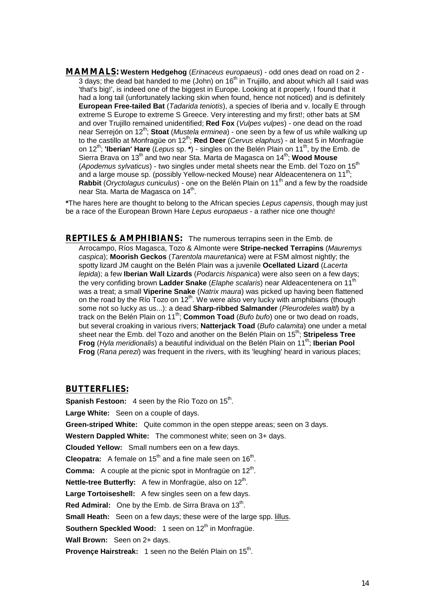**MAMMALS: Western Hedgehog** (*Erinaceus europaeus*) - odd ones dead on road on 2 -  $3$  days; the dead bat handed to me (John) on  $16<sup>th</sup>$  in Trujillo, and about which all I said was 'that's big!', is indeed one of the biggest in Europe. Looking at it properly, I found that it had a long tail (unfortunately lacking skin when found, hence not noticed) and is definitely **European Free-tailed Bat** (*Tadarida teniotis*), a species of Iberia and v. locally E through extreme S Europe to extreme S Greece. Very interesting and my first!; other bats at SM and over Trujillo remained unidentified; **Red Fox** (*Vulpes vulpes*) - one dead on the road near Serrejón on 12th; **Stoat** (*Mustela erminea*) - one seen by a few of us while walking up to the castillo at Monfragüe on 12<sup>th</sup>; **Red Deer** (*Cervus elaphus*) - at least 5 in Monfragüe on 12<sup>th</sup>; **'Iberian' Hare** (*Lepus* sp. \*) - singles on the Belén Plain on 11<sup>th</sup>, by the Emb. de Sierra Brava on 13<sup>th</sup> and two near Sta. Marta de Magasca on 14<sup>th</sup>; **Wood Mouse** (*Apodemus sylvaticus*) - two singles under metal sheets near the Emb. del Tozo on 15<sup>th</sup> and a large mouse sp. (possibly Yellow-necked Mouse) near Aldeacentenera on 11<sup>th</sup>; **Rabbit** (*Oryctolagus cuniculus*) - one on the Belén Plain on 11<sup>th</sup> and a few by the roadside near Sta. Marta de Magasca on 14<sup>th</sup>.

**\***The hares here are thought to belong to the African species *Lepus capensis*, though may just be a race of the European Brown Hare *Lepus europaeus* - a rather nice one though!

**REPTILES & AMPHIBIANS:** The numerous terrapins seen in the Emb. de Arrocampo, Ríos Magasca, Tozo & Almonte were **Stripe-necked Terrapins** (*Mauremys caspica*); **Moorish Geckos** (*Tarentola mauretanica*) were at FSM almost nightly; the spotty lizard JM caught on the Belén Plain was a juvenile **Ocellated Lizard** (*Lacerta lepida*); a few **Iberian Wall Lizards** (*Podarcis hispanica*) were also seen on a few days; the very confiding brown **Ladder Snake** (*Elaphe scalaris*) near Aldeacentenera on 11th was a treat; a small **Viperine Snake** (*Natrix maura*) was picked up having been flattened on the road by the Río Tozo on 12<sup>th</sup>. We were also very lucky with amphibians (though some not so lucky as us...): a dead **Sharp-ribbed Salmander** (*Pleurodeles waltl*) by a track on the Belén Plain on 11th; **Common Toad** (*Bufo bufo*) one or two dead on roads, but several croaking in various rivers; **Natterjack Toad** (*Bufo calamita*) one under a metal sheet near the Emb. del Tozo and another on the Belén Plain on 15th; **Stripeless Tree Frog** (*Hyla meridionalis*) a beautiful individual on the Belén Plain on 11<sup>th</sup>; **Iberian Pool Frog** (*Rana perezi*) was frequent in the rivers, with its 'leughing' heard in various places;

### **BUTTERFLIES:**

**Spanish Festoon:** 4 seen by the Río Tozo on 15<sup>th</sup>. **Large White:** Seen on a couple of days. **Green-striped White:** Quite common in the open steppe areas; seen on 3 days. **Western Dappled White:** The commonest white; seen on 3+ days. **Clouded Yellow:** Small numbers een on a few days. **Cleopatra:** A female on 15<sup>th</sup> and a fine male seen on 16<sup>th</sup>. **Comma:** A couple at the picnic spot in Monfrague on 12<sup>th</sup>. **Nettle-tree Butterfly:** A few in Monfragüe, also on 12<sup>th</sup>. **Large Tortoiseshell:** A few singles seen on a few days. **Red Admiral:** One by the Emb. de Sirra Brava on 13<sup>th</sup>. **Small Heath:** Seen on a few days; these were of the large spp. lillus. **Southern Speckled Wood:** 1 seen on 12<sup>th</sup> in Monfragüe. **Wall Brown:** Seen on 2+ days. **Provence Hairstreak:** 1 seen no the Belén Plain on 15<sup>th</sup>.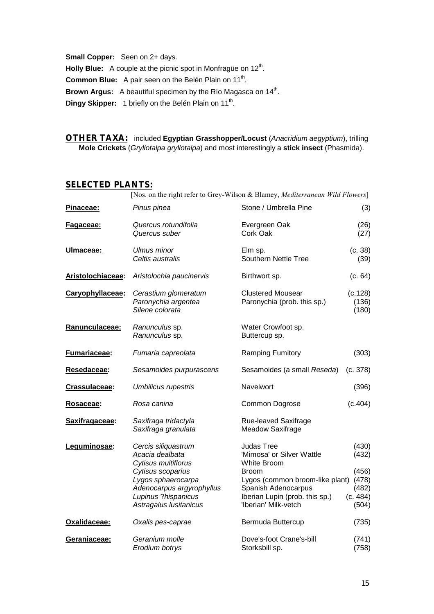**Small Copper:** Seen on 2+ days. **Holly Blue:** A couple at the picnic spot in Monfragüe on 12<sup>th</sup>. **Common Blue:** A pair seen on the Belén Plain on 11<sup>th</sup>. **Brown Argus:** A beautiful specimen by the Río Magasca on 14<sup>th</sup>. **Dingy Skipper:** 1 briefly on the Belén Plain on 11<sup>th</sup>.

**OTHER TAXA:** included **Egyptian Grasshopper/Locust** (*Anacridium aegyptium*), trilling **Mole Crickets** (*Gryllotalpa gryllotalpa*) and most interestingly a **stick insect** (Phasmida).

# **SELECTED PLANTS:**

|                   | [Nos. on the right refer to Grey-Wilson & Blamey, Mediterranean Wild Flowers]                                                                                                          |                                                                                                                                                                                                   |                                                                |  |  |  |
|-------------------|----------------------------------------------------------------------------------------------------------------------------------------------------------------------------------------|---------------------------------------------------------------------------------------------------------------------------------------------------------------------------------------------------|----------------------------------------------------------------|--|--|--|
| Pinaceae:         | Pinus pinea                                                                                                                                                                            | Stone / Umbrella Pine                                                                                                                                                                             | (3)                                                            |  |  |  |
| Fagaceae:         | Quercus rotundifolia<br>Quercus suber                                                                                                                                                  | Evergreen Oak<br>Cork Oak                                                                                                                                                                         | (26)<br>(27)                                                   |  |  |  |
| Ulmaceae:         | <b>Ulmus minor</b><br>Celtis australis                                                                                                                                                 | Elm sp.<br>Southern Nettle Tree                                                                                                                                                                   | (c. 38)<br>(39)                                                |  |  |  |
| Aristolochiaceae: | Aristolochia paucinervis                                                                                                                                                               | Birthwort sp.                                                                                                                                                                                     | (c. 64)                                                        |  |  |  |
| Caryophyllaceae:  | Cerastium glomeratum<br>Paronychia argentea<br>Silene colorata                                                                                                                         | <b>Clustered Mousear</b><br>Paronychia (prob. this sp.)                                                                                                                                           | (c.128)<br>(136)<br>(180)                                      |  |  |  |
| Ranunculaceae:    | Ranunculus sp.<br>Ranunculus sp.                                                                                                                                                       | Water Crowfoot sp.<br>Buttercup sp.                                                                                                                                                               |                                                                |  |  |  |
| Fumariaceae:      | Fumaria capreolata                                                                                                                                                                     | Ramping Fumitory                                                                                                                                                                                  | (303)                                                          |  |  |  |
| Resedaceae:       | Sesamoides purpurascens                                                                                                                                                                | Sesamoides (a small Reseda)                                                                                                                                                                       | (c. 378)                                                       |  |  |  |
| Crassulaceae:     | Umbilicus rupestris                                                                                                                                                                    | Navelwort                                                                                                                                                                                         | (396)                                                          |  |  |  |
| Rosaceae:         | Rosa canina                                                                                                                                                                            | Common Dogrose                                                                                                                                                                                    | (c.404)                                                        |  |  |  |
| Saxifragaceae:    | Saxifraga tridactyla<br>Saxifraga granulata                                                                                                                                            | <b>Rue-leaved Saxifrage</b><br><b>Meadow Saxifrage</b>                                                                                                                                            |                                                                |  |  |  |
| Leguminosae:      | Cercis siliquastrum<br>Acacia dealbata<br>Cytisus multiflorus<br>Cytisus scoparius<br>Lygos sphaerocarpa<br>Adenocarpus argyrophyllus<br>Lupinus ?hispanicus<br>Astragalus lusitanicus | <b>Judas Tree</b><br>'Mimosa' or Silver Wattle<br>White Broom<br><b>Broom</b><br>Lygos (common broom-like plant)<br>Spanish Adenocarpus<br>Iberian Lupin (prob. this sp.)<br>'Iberian' Milk-vetch | (430)<br>(432)<br>(456)<br>(478)<br>(482)<br>(c. 484)<br>(504) |  |  |  |
| Oxalidaceae:      | Oxalis pes-caprae                                                                                                                                                                      | Bermuda Buttercup                                                                                                                                                                                 | (735)                                                          |  |  |  |
| Geraniaceae:      | Geranium molle<br>Erodium botrys                                                                                                                                                       | Dove's-foot Crane's-bill<br>Storksbill sp.                                                                                                                                                        | (741)<br>(758)                                                 |  |  |  |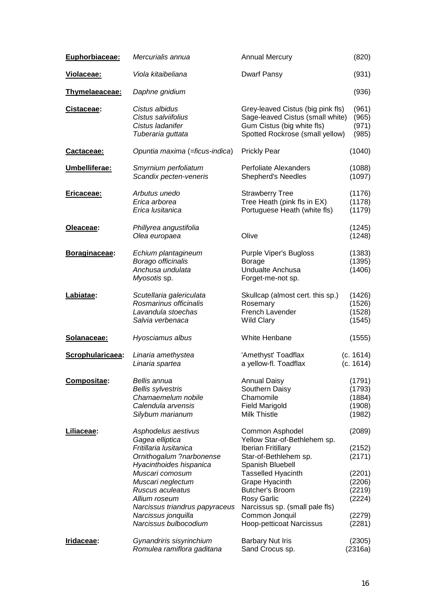| Euphorbiaceae:   | Mercurialis annua                                                                                                                                                                                                                                                                     | <b>Annual Mercury</b>                                                                                                                                                                                                                                                                                           | (820)                                                                                  |
|------------------|---------------------------------------------------------------------------------------------------------------------------------------------------------------------------------------------------------------------------------------------------------------------------------------|-----------------------------------------------------------------------------------------------------------------------------------------------------------------------------------------------------------------------------------------------------------------------------------------------------------------|----------------------------------------------------------------------------------------|
| Violaceae:       | Viola kitaibeliana                                                                                                                                                                                                                                                                    | <b>Dwarf Pansy</b>                                                                                                                                                                                                                                                                                              | (931)                                                                                  |
| Thymelaeaceae:   | Daphne gnidium                                                                                                                                                                                                                                                                        |                                                                                                                                                                                                                                                                                                                 | (936)                                                                                  |
| Cistaceae:       | Cistus albidus<br>Cistus salviifolius<br>Cistus ladanifer<br>Tuberaria guttata                                                                                                                                                                                                        | Grey-leaved Cistus (big pink fls)<br>Sage-leaved Cistus (small white)<br>Gum Cistus (big white fls)<br>Spotted Rockrose (small yellow)                                                                                                                                                                          | (961)<br>(965)<br>(971)<br>(985)                                                       |
| Cactaceae:       | Opuntia maxima (=ficus-indica)                                                                                                                                                                                                                                                        | <b>Prickly Pear</b>                                                                                                                                                                                                                                                                                             | (1040)                                                                                 |
| Umbelliferae:    | Smyrnium perfoliatum<br>Scandix pecten-veneris                                                                                                                                                                                                                                        | Perfoliate Alexanders<br><b>Shepherd's Needles</b>                                                                                                                                                                                                                                                              | (1088)<br>(1097)                                                                       |
| Ericaceae:       | Arbutus unedo<br>Erica arborea<br>Erica Iusitanica                                                                                                                                                                                                                                    | <b>Strawberry Tree</b><br>Tree Heath (pink fls in EX)<br>Portuguese Heath (white fls)                                                                                                                                                                                                                           | (1176)<br>(1178)<br>(1179)                                                             |
| Oleaceae:        | Phillyrea angustifolia<br>Olea europaea                                                                                                                                                                                                                                               | Olive                                                                                                                                                                                                                                                                                                           | (1245)<br>(1248)                                                                       |
| Boraginaceae:    | Echium plantagineum<br>Borago officinalis<br>Anchusa undulata<br>Myosotis sp.                                                                                                                                                                                                         | <b>Purple Viper's Bugloss</b><br><b>Borage</b><br>Undualte Anchusa<br>Forget-me-not sp.                                                                                                                                                                                                                         | (1383)<br>(1395)<br>(1406)                                                             |
| Labiatae:        | Scutellaria galericulata<br>Rosmarinus officinalis<br>Lavandula stoechas<br>Salvia verbenaca                                                                                                                                                                                          | Skullcap (almost cert. this sp.)<br>Rosemary<br>French Lavender<br><b>Wild Clary</b>                                                                                                                                                                                                                            | (1426)<br>(1526)<br>(1528)<br>(1545)                                                   |
| Solanaceae:      | Hyosciamus albus                                                                                                                                                                                                                                                                      | White Henbane                                                                                                                                                                                                                                                                                                   | (1555)                                                                                 |
| Scrophularicaea: | Linaria amethystea<br>Linaria spartea                                                                                                                                                                                                                                                 | 'Amethyst' Toadflax<br>a yellow-fl. Toadflax                                                                                                                                                                                                                                                                    | (c. 1614)<br>(c. 1614)                                                                 |
| Compositae:      | Bellis annua<br><b>Bellis sylvestris</b><br>Chamaemelum nobile<br>Calendula arvensis<br>Silybum marianum                                                                                                                                                                              | <b>Annual Daisy</b><br>Southern Daisy<br>Chamomile<br><b>Field Marigold</b><br><b>Milk Thistle</b>                                                                                                                                                                                                              | (1791)<br>(1793)<br>(1884)<br>(1908)<br>(1982)                                         |
| Liliaceae:       | Asphodelus aestivus<br>Gagea elliptica<br>Fritillaria lusitanica<br>Ornithogalum?narbonense<br>Hyacinthoides hispanica<br>Muscari comosum<br>Muscari neglectum<br>Ruscus aculeatus<br>Allium roseum<br>Narcissus triandrus papyraceus<br>Narcissus jonquilla<br>Narcissus bulbocodium | Common Asphodel<br>Yellow Star-of-Bethlehem sp.<br><b>Iberian Fritillary</b><br>Star-of-Bethlehem sp.<br>Spanish Bluebell<br><b>Tasselled Hyacinth</b><br>Grape Hyacinth<br><b>Butcher's Broom</b><br><b>Rosy Garlic</b><br>Narcissus sp. (small pale fls)<br>Common Jonquil<br><b>Hoop-petticoat Narcissus</b> | (2089)<br>(2152)<br>(2171)<br>(2201)<br>(2206)<br>(2219)<br>(2224)<br>(2279)<br>(2281) |
| Iridaceae:       | Gynandriris sisyrinchium<br>Romulea ramiflora gaditana                                                                                                                                                                                                                                | <b>Barbary Nut Iris</b><br>Sand Crocus sp.                                                                                                                                                                                                                                                                      | (2305)<br>(2316a)                                                                      |